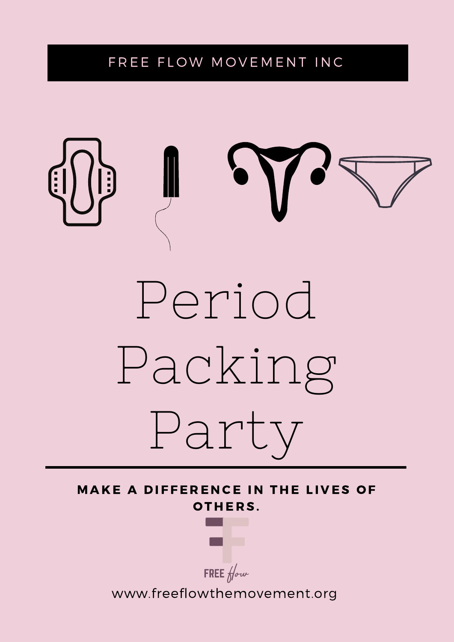### FREE FLOW MOVEMENT INC



MAKE A DIFFERENCE IN THE LIVES OF OTHERS.



FREE  $f/\sim$ 

www.freeflowthemovement.org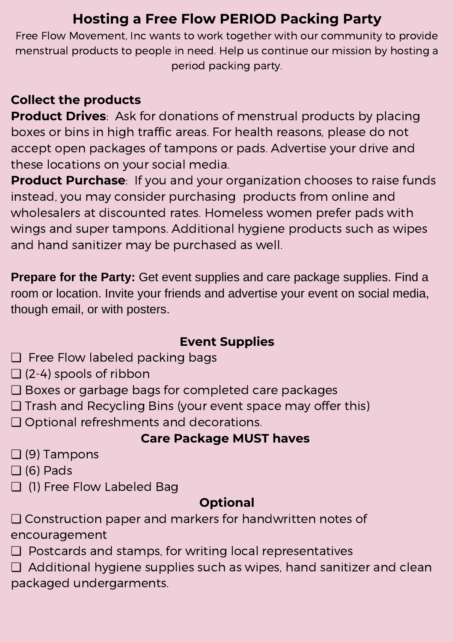## **Hosting a Free Flow PERIOD Packing Party**

Free Flow Movement, Inc wants to work together with our community to provide menstrual products to people in need. Help us continue our mission by hosting a period packing party.

#### **Collect the products**

**Product Drives**: Ask for donations of menstrual products by placing boxes or bins in high traffic areas. For health reasons, please do not accept open packages of tampons or pads. Advertise your drive and these locations on your social media.

**Product Purchase**: If you and your organization chooses to raise funds instead, you may consider purchasing products from online and wholesalers at discounted rates. Homeless women prefer pads with wings and super tampons. Additional hygiene products such as wipes and hand sanitizer may be purchased as well.

**Prepare for the Party:** Get event supplies and care package supplies. Find a room or location. Invite your friends and advertise your event on social media, though email, or with posters.

#### **Event Supplies**

- ❏ Free Flow labeled packing bags
- $\Box$  (2-4) spools of ribbon
- ❏ Boxes or garbage bags for completed care packages
- ❏ Trash and Recycling Bins (your event space may offer this)
- ❏ Optional refreshments and decorations.

#### **Care Package MUST haves**

- ❏ (9) Tampons
- $\Box$  (6) Pads
- ❏ (1) Free Flow Labeled Bag

#### **Optional**

❏ Construction paper and markers for handwritten notes of encouragement

- ❏ Postcards and stamps, for writing local representatives
- ❏ Additional hygiene supplies such as wipes, hand sanitizer and clean packaged undergarments.